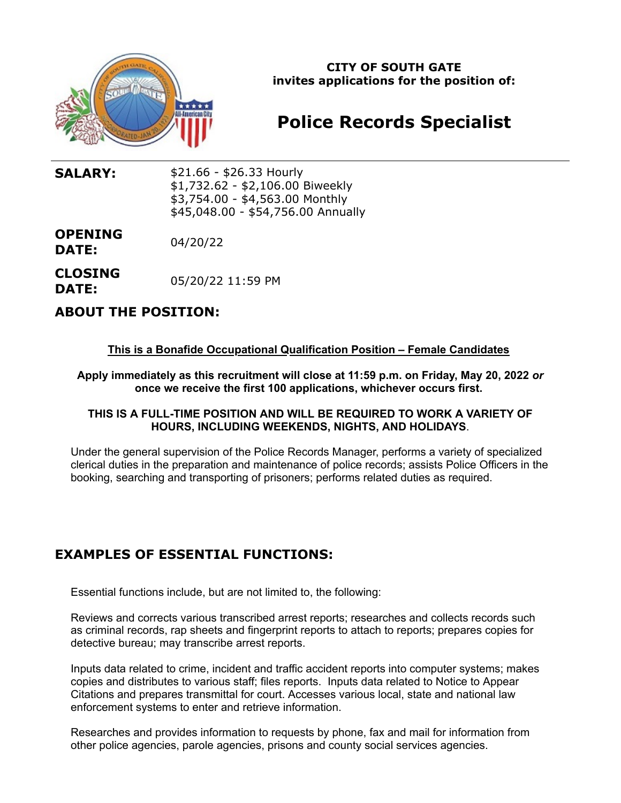

**CITY OF SOUTH GATE invites applications for the position of:**

# **Police Records Specialist**

**SALARY:** \$21.66 - \$26.33 Hourly \$1,732.62 - \$2,106.00 Biweekly \$3,754.00 - \$4,563.00 Monthly \$45,048.00 - \$54,756.00 Annually

**OPENING DATE:** 04/20/22

**CLOSING DATE:** 05/20/22 11:59 PM

## **ABOUT THE POSITION:**

### **This is a Bonafide Occupational Qualification Position – Female Candidates**

**Apply immediately as this recruitment will close at 11:59 p.m. on Friday, May 20, 2022** *or* **once we receive the first 100 applications, whichever occurs first.** 

#### **THIS IS A FULL-TIME POSITION AND WILL BE REQUIRED TO WORK A VARIETY OF HOURS, INCLUDING WEEKENDS, NIGHTS, AND HOLIDAYS**.

Under the general supervision of the Police Records Manager, performs a variety of specialized clerical duties in the preparation and maintenance of police records; assists Police Officers in the booking, searching and transporting of prisoners; performs related duties as required.

# **EXAMPLES OF ESSENTIAL FUNCTIONS:**

Essential functions include, but are not limited to, the following:

Reviews and corrects various transcribed arrest reports; researches and collects records such as criminal records, rap sheets and fingerprint reports to attach to reports; prepares copies for detective bureau; may transcribe arrest reports.

Inputs data related to crime, incident and traffic accident reports into computer systems; makes copies and distributes to various staff; files reports. Inputs data related to Notice to Appear Citations and prepares transmittal for court. Accesses various local, state and national law enforcement systems to enter and retrieve information.

Researches and provides information to requests by phone, fax and mail for information from other police agencies, parole agencies, prisons and county social services agencies.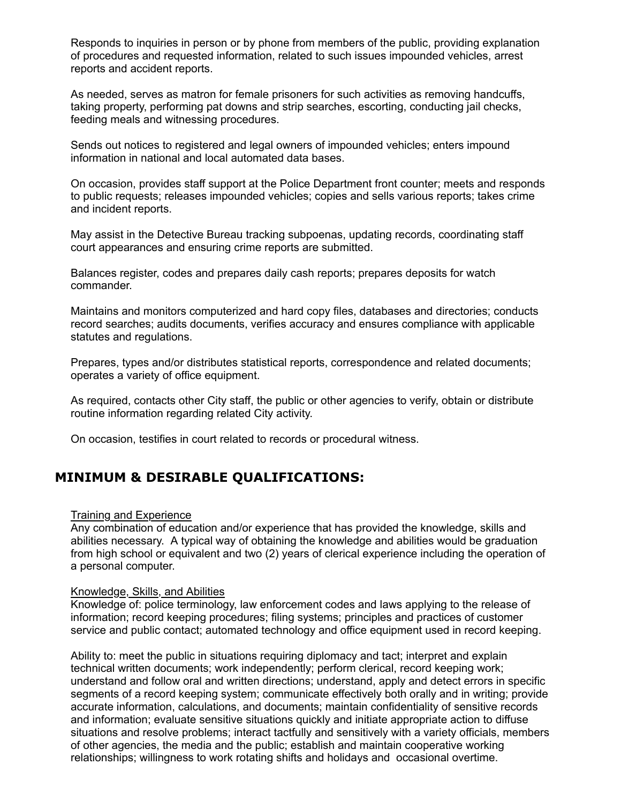Responds to inquiries in person or by phone from members of the public, providing explanation of procedures and requested information, related to such issues impounded vehicles, arrest reports and accident reports.

As needed, serves as matron for female prisoners for such activities as removing handcuffs, taking property, performing pat downs and strip searches, escorting, conducting jail checks, feeding meals and witnessing procedures.

Sends out notices to registered and legal owners of impounded vehicles; enters impound information in national and local automated data bases.

On occasion, provides staff support at the Police Department front counter; meets and responds to public requests; releases impounded vehicles; copies and sells various reports; takes crime and incident reports.

May assist in the Detective Bureau tracking subpoenas, updating records, coordinating staff court appearances and ensuring crime reports are submitted.

Balances register, codes and prepares daily cash reports; prepares deposits for watch commander.

Maintains and monitors computerized and hard copy files, databases and directories; conducts record searches; audits documents, verifies accuracy and ensures compliance with applicable statutes and regulations.

Prepares, types and/or distributes statistical reports, correspondence and related documents; operates a variety of office equipment.

As required, contacts other City staff, the public or other agencies to verify, obtain or distribute routine information regarding related City activity.

On occasion, testifies in court related to records or procedural witness.

## **MINIMUM & DESIRABLE QUALIFICATIONS:**

#### Training and Experience

Any combination of education and/or experience that has provided the knowledge, skills and abilities necessary. A typical way of obtaining the knowledge and abilities would be graduation from high school or equivalent and two (2) years of clerical experience including the operation of a personal computer.

#### Knowledge, Skills, and Abilities

Knowledge of: police terminology, law enforcement codes and laws applying to the release of information; record keeping procedures; filing systems; principles and practices of customer service and public contact; automated technology and office equipment used in record keeping.

Ability to: meet the public in situations requiring diplomacy and tact; interpret and explain technical written documents; work independently; perform clerical, record keeping work; understand and follow oral and written directions; understand, apply and detect errors in specific segments of a record keeping system; communicate effectively both orally and in writing; provide accurate information, calculations, and documents; maintain confidentiality of sensitive records and information; evaluate sensitive situations quickly and initiate appropriate action to diffuse situations and resolve problems; interact tactfully and sensitively with a variety officials, members of other agencies, the media and the public; establish and maintain cooperative working relationships; willingness to work rotating shifts and holidays and occasional overtime.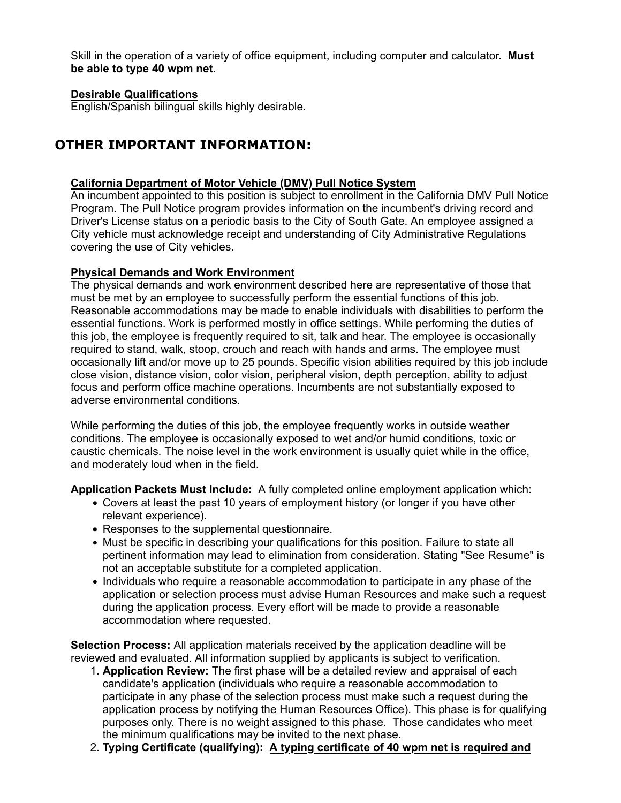Skill in the operation of a variety of office equipment, including computer and calculator. **Must be able to type 40 wpm net.**

#### **Desirable Qualifications**

English/Spanish bilingual skills highly desirable.

# **OTHER IMPORTANT INFORMATION:**

#### **California Department of Motor Vehicle (DMV) Pull Notice System**

An incumbent appointed to this position is subject to enrollment in the California DMV Pull Notice Program. The Pull Notice program provides information on the incumbent's driving record and Driver's License status on a periodic basis to the City of South Gate. An employee assigned a City vehicle must acknowledge receipt and understanding of City Administrative Regulations covering the use of City vehicles.

#### **Physical Demands and Work Environment**

The physical demands and work environment described here are representative of those that must be met by an employee to successfully perform the essential functions of this job. Reasonable accommodations may be made to enable individuals with disabilities to perform the essential functions. Work is performed mostly in office settings. While performing the duties of this job, the employee is frequently required to sit, talk and hear. The employee is occasionally required to stand, walk, stoop, crouch and reach with hands and arms. The employee must occasionally lift and/or move up to 25 pounds. Specific vision abilities required by this job include close vision, distance vision, color vision, peripheral vision, depth perception, ability to adjust focus and perform office machine operations. Incumbents are not substantially exposed to adverse environmental conditions.

While performing the duties of this job, the employee frequently works in outside weather conditions. The employee is occasionally exposed to wet and/or humid conditions, toxic or caustic chemicals. The noise level in the work environment is usually quiet while in the office, and moderately loud when in the field.

**Application Packets Must Include:** A fully completed online employment application which:

- Covers at least the past 10 years of employment history (or longer if you have other relevant experience).
- Responses to the supplemental questionnaire.
- Must be specific in describing your qualifications for this position. Failure to state all pertinent information may lead to elimination from consideration. Stating "See Resume" is not an acceptable substitute for a completed application.
- Individuals who require a reasonable accommodation to participate in any phase of the application or selection process must advise Human Resources and make such a request during the application process. Every effort will be made to provide a reasonable accommodation where requested.

**Selection Process:** All application materials received by the application deadline will be reviewed and evaluated. All information supplied by applicants is subject to verification.

- 1. **Application Review:** The first phase will be a detailed review and appraisal of each candidate's application (individuals who require a reasonable accommodation to participate in any phase of the selection process must make such a request during the application process by notifying the Human Resources Office). This phase is for qualifying purposes only. There is no weight assigned to this phase. Those candidates who meet the minimum qualifications may be invited to the next phase.
- 2. **Typing Certificate (qualifying): A typing certificate of 40 wpm net is required and**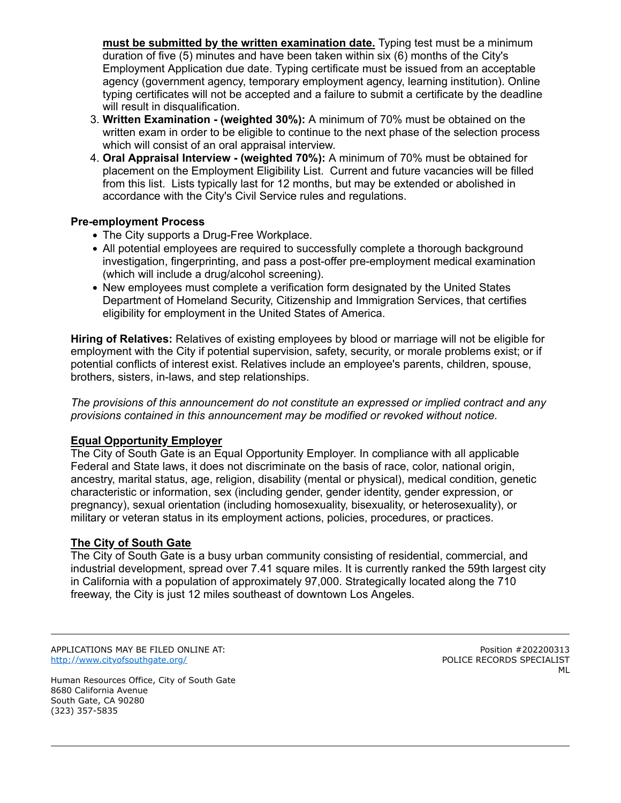**must be submitted by the written examination date.** Typing test must be a minimum duration of five (5) minutes and have been taken within six (6) months of the City's Employment Application due date. Typing certificate must be issued from an acceptable agency (government agency, temporary employment agency, learning institution). Online typing certificates will not be accepted and a failure to submit a certificate by the deadline will result in disqualification.

- 3. **Written Examination (weighted 30%):** A minimum of 70% must be obtained on the written exam in order to be eligible to continue to the next phase of the selection process which will consist of an oral appraisal interview.
- 4. **Oral Appraisal Interview (weighted 70%):** A minimum of 70% must be obtained for placement on the Employment Eligibility List. Current and future vacancies will be filled from this list. Lists typically last for 12 months, but may be extended or abolished in accordance with the City's Civil Service rules and regulations.

#### **Pre-employment Process**

- The City supports a Drug-Free Workplace.
- All potential employees are required to successfully complete a thorough background investigation, fingerprinting, and pass a post-offer pre-employment medical examination (which will include a drug/alcohol screening).
- New employees must complete a verification form designated by the United States Department of Homeland Security, Citizenship and Immigration Services, that certifies eligibility for employment in the United States of America.

**Hiring of Relatives:** Relatives of existing employees by blood or marriage will not be eligible for employment with the City if potential supervision, safety, security, or morale problems exist; or if potential conflicts of interest exist. Relatives include an employee's parents, children, spouse, brothers, sisters, in-laws, and step relationships.

*The provisions of this announcement do not constitute an expressed or implied contract and any provisions contained in this announcement may be modified or revoked without notice.*

#### **Equal Opportunity Employer**

The City of South Gate is an Equal Opportunity Employer. In compliance with all applicable Federal and State laws, it does not discriminate on the basis of race, color, national origin, ancestry, marital status, age, religion, disability (mental or physical), medical condition, genetic characteristic or information, sex (including gender, gender identity, gender expression, or pregnancy), sexual orientation (including homosexuality, bisexuality, or heterosexuality), or military or veteran status in its employment actions, policies, procedures, or practices.

#### **The City of South Gate**

The City of South Gate is a busy urban community consisting of residential, commercial, and industrial development, spread over 7.41 square miles. It is currently ranked the 59th largest city in California with a population of approximately 97,000. Strategically located along the 710 freeway, the City is just 12 miles southeast of downtown Los Angeles.

APPLICATIONS MAY BE FILED ONLINE AT: <http://www.cityofsouthgate.org/>

Position #202200313 POLICE RECORDS SPECIALIST ML

Human Resources Office, City of South Gate 8680 California Avenue South Gate, CA 90280 (323) 357-5835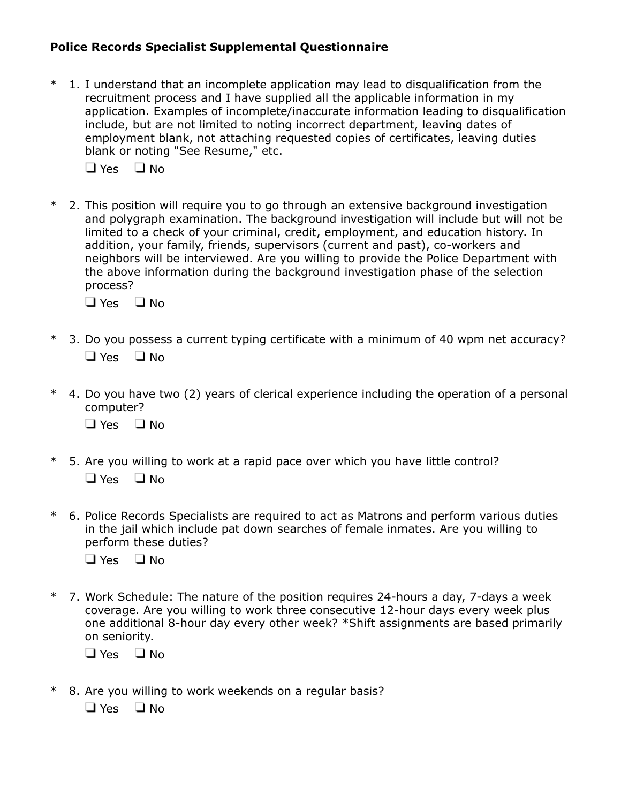## **Police Records Specialist Supplemental Questionnaire**

1. I understand that an incomplete application may lead to disqualification from the recruitment process and I have supplied all the applicable information in my application. Examples of incomplete/inaccurate information leading to disqualification include, but are not limited to noting incorrect department, leaving dates of employment blank, not attaching requested copies of certificates, leaving duties blank or noting "See Resume," etc.

 $\Box$  Yes  $\Box$  No

\* 2. This position will require you to go through an extensive background investigation and polygraph examination. The background investigation will include but will not be limited to a check of your criminal, credit, employment, and education history. In addition, your family, friends, supervisors (current and past), co-workers and neighbors will be interviewed. Are you willing to provide the Police Department with the above information during the background investigation phase of the selection process?

 $\Box$  Yes  $\Box$  No

- \* 3. Do you possess a current typing certificate with a minimum of 40 wpm net accuracy?  $\Box$  Yes  $\Box$  No
- \* 4. Do you have two (2) years of clerical experience including the operation of a personal computer?

 $\Box$  Yes  $\Box$  No

- \* 5. Are you willing to work at a rapid pace over which you have little control?  $\Box$  Yes  $\Box$  No
- \* 6. Police Records Specialists are required to act as Matrons and perform various duties in the jail which include pat down searches of female inmates. Are you willing to perform these duties?

 $\Box$  Yes  $\Box$  No

\* 7. Work Schedule: The nature of the position requires 24-hours a day, 7-days a week coverage. Are you willing to work three consecutive 12-hour days every week plus one additional 8-hour day every other week? \*Shift assignments are based primarily on seniority.

 $\Box$  Yes  $\Box$  No

\* 8. Are you willing to work weekends on a regular basis?

 $\Box$  Yes  $\Box$  No